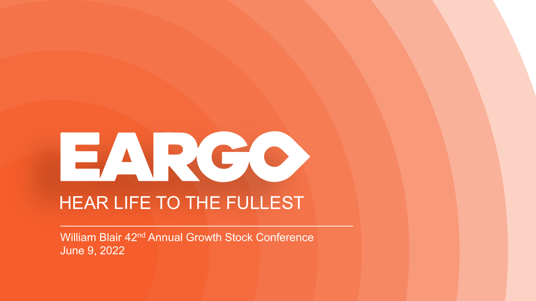# EARCO HEAR LIFE TO THE FULLEST

Privileged June 9, 2022William Blair 42nd Annual Growth Stock Conference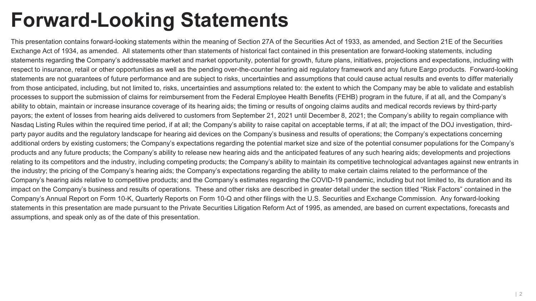### **Forward-Looking Statements**

This presentation contains forward-looking statements within the meaning of Section 27A of the Securities Act of 1933, as amended, and Section 21E of the Securities Exchange Act of 1934, as amended. All statements other than statements of historical fact contained in this presentation are forward-looking statements, including statements regarding the Company's addressable market and market opportunity, potential for growth, future plans, initiatives, projections and expectations, including with respect to insurance, retail or other opportunities as well as the pending over-the-counter hearing aid regulatory framework and any future Eargo products. Forward-looking statements are not guarantees of future performance and are subject to risks, uncertainties and assumptions that could cause actual results and events to differ materially from those anticipated, including, but not limited to, risks, uncertainties and assumptions related to: the extent to which the Company may be able to validate and establish processes to support the submission of claims for reimbursement from the Federal Employee Health Benefits (FEHB) program in the future, if at all, and the Company's ability to obtain, maintain or increase insurance coverage of its hearing aids; the timing or results of ongoing claims audits and medical records reviews by third-party payors; the extent of losses from hearing aids delivered to customers from September 21, 2021 until December 8, 2021; the Company's ability to regain compliance with Nasdaq Listing Rules within the required time period, if at all; the Company's ability to raise capital on acceptable terms, if at all; the impact of the DOJ investigation, thirdparty payor audits and the regulatory landscape for hearing aid devices on the Company's business and results of operations; the Company's expectations concerning additional orders by existing customers; the Company's expectations regarding the potential market size and size of the potential consumer populations for the Company's products and any future products; the Company's ability to release new hearing aids and the anticipated features of any such hearing aids; developments and projections relating to its competitors and the industry, including competing products; the Company's ability to maintain its competitive technological advantages against new entrants in the industry; the pricing of the Company's hearing aids; the Company's expectations regarding the ability to make certain claims related to the performance of the Company's hearing aids relative to competitive products; and the Company's estimates regarding the COVID-19 pandemic, including but not limited to, its duration and its impact on the Company's business and results of operations. These and other risks are described in greater detail under the section titled "Risk Factors" contained in the Company's Annual Report on Form 10-K, Quarterly Reports on Form 10-Q and other filings with the U.S. Securities and Exchange Commission. Any forward-looking statements in this presentation are made pursuant to the Private Securities Litigation Reform Act of 1995, as amended, are based on current expectations, forecasts and assumptions, and speak only as of the date of this presentation.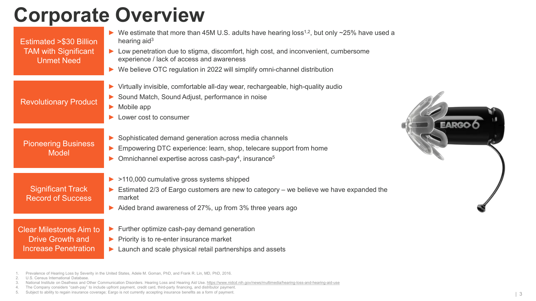### **Corporate Overview**

| <b>Estimated &gt;\$30 Billion</b><br><b>TAM with Significant</b><br><b>Unmet Need</b>    | We estimate that more than 45M U.S. adults have hearing loss <sup>1,2</sup> , but only $\sim$ 25% have used a<br>hearing aid $3$<br>▶ Low penetration due to stigma, discomfort, high cost, and inconvenient, cumbersome<br>experience / lack of access and awareness<br>▶ We believe OTC regulation in 2022 will simplify omni-channel distribution |  |  |
|------------------------------------------------------------------------------------------|------------------------------------------------------------------------------------------------------------------------------------------------------------------------------------------------------------------------------------------------------------------------------------------------------------------------------------------------------|--|--|
| <b>Revolutionary Product</b>                                                             | ▶ Virtually invisible, comfortable all-day wear, rechargeable, high-quality audio<br>Sound Match, Sound Adjust, performance in noise<br>Mobile app<br>$\blacktriangleright$<br>Lower cost to consumer                                                                                                                                                |  |  |
| <b>Pioneering Business</b><br><b>Model</b>                                               | Sophisticated demand generation across media channels<br>Empowering DTC experience: learn, shop, telecare support from home<br>Omnichannel expertise across cash-pay <sup>4</sup> , insurance <sup>5</sup>                                                                                                                                           |  |  |
| <b>Significant Track</b><br><b>Record of Success</b>                                     | $\triangleright$ >110,000 cumulative gross systems shipped<br>$\triangleright$ Estimated 2/3 of Eargo customers are new to category – we believe we have expanded the<br>market<br>Aided brand awareness of 27%, up from 3% three years ago                                                                                                          |  |  |
| <b>Clear Milestones Aim to</b><br><b>Drive Growth and</b><br><b>Increase Penetration</b> | $\blacktriangleright$ Further optimize cash-pay demand generation<br>$\blacktriangleright$ Priority is to re-enter insurance market<br>$\blacktriangleright$ Launch and scale physical retail partnerships and assets                                                                                                                                |  |  |

1. Prevalence of Hearing Loss by Severity in the United States, Adele M. Goman, PhD, and Frank R. Lin, MD, PhD, 2016.

- 2. U.S. Census International Database.
- 3. National Institute on Deafness and Other Communication Disorders. Hearing Loss and Hearing Aid Use. <https://www.nidcd.nih.gov/news/multimedia/hearing-loss-and-hearing-aid-use>
- 4. The Company considers "cash-pay" to include upfront payment, credit card, third-party financing, and distributor payment.

5. Subject to ability to regain insurance coverage; Eargo is not currently accepting insurance benefits as a form of payment.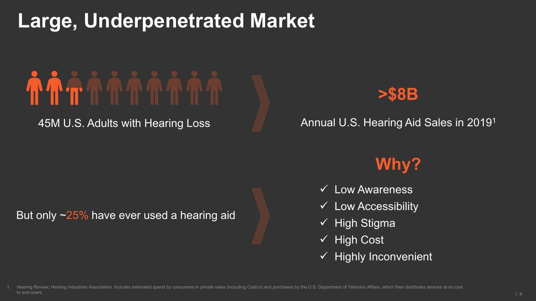### **Large, Underpenetrated Market**

# 

45M U.S. Adults with Hearing Loss



Annual U.S. Hearing Aid Sales in 20191

#### But only ~25% have ever used a hearing aid

### **Why?**

- $\checkmark$  Low Awareness
- $\checkmark$  Low Accessibility
- $\checkmark$  High Stigma
- $\checkmark$  High Cost
- $\checkmark$  Highly Inconvenient

Hearing Review; Hearing Industries Association. Includes estimated spend by consumers in private sales (including Costco) and purchases by the U.S. Department of Veterans Affairs, which then distributes devices at no cost to end-users.  $\vert$  4  $\vert$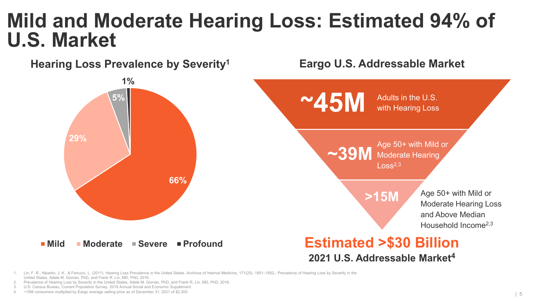### **Mild and Moderate Hearing Loss: Estimated 94% of U.S. Market**

**Hearing Loss Prevalence by Severity1**



#### **Eargo U.S. Addressable Market**



Lin, F. R., Niparko, J. K., & Ferrucci, L. (2011). Hearing Loss Prevalence in the United States. Archives of Internal Medicine, 171(20), 1851-1852.; Prevalence of Hearing Loss by Severity in the United States, Adele M. Goman, PhD, and Frank R. Lin, MD, PhD, 2016.

2. Prevalence of Hearing Loss by Severity in the United States, Adele M. Goman, PhD, and Frank R. Lin, MD, PhD, 2016.

U.S. Census Bureau, Current Population Survey, 2019 Annual Social and Economic Supplement.

4. ~15M consumers multiplied by Eargo average selling price as of December 31, 2021 of \$2,200.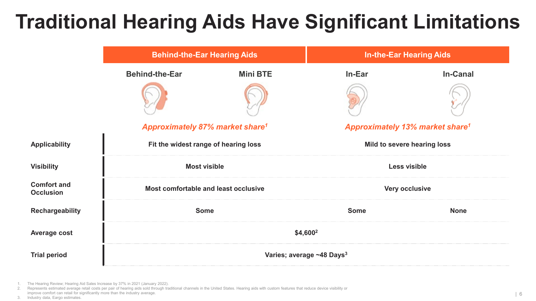### **Traditional Hearing Aids Have Significant Limitations**

|                                        | <b>Behind-the-Ear Hearing Aids</b>                |                 | <b>In-the-Ear Hearing Aids</b>                    |                 |
|----------------------------------------|---------------------------------------------------|-----------------|---------------------------------------------------|-----------------|
|                                        | <b>Behind-the-Ear</b>                             | <b>Mini BTE</b> | In-Ear                                            | <b>In-Canal</b> |
|                                        |                                                   |                 |                                                   |                 |
|                                        | <b>Approximately 87% market share<sup>1</sup></b> |                 | <b>Approximately 13% market share<sup>1</sup></b> |                 |
| <b>Applicability</b>                   | Fit the widest range of hearing loss              |                 | Mild to severe hearing loss                       |                 |
| <b>Visibility</b>                      | <b>Most visible</b>                               |                 | Less visible                                      |                 |
| <b>Comfort and</b><br><b>Occlusion</b> | Most comfortable and least occlusive              |                 | Very occlusive                                    |                 |
| <b>Rechargeability</b>                 | <b>Some</b>                                       |                 | <b>Some</b>                                       | <b>None</b>     |
| <b>Average cost</b>                    | \$4,600 <sup>2</sup>                              |                 |                                                   |                 |
| <b>Trial period</b>                    | Varies; average ~48 Days <sup>3</sup>             |                 |                                                   |                 |

1. The Hearing Review; Hearing Aid Sales Increase by 37% in 2021 (January 2022).

2. Represents estimated average retail costs per pair of hearing aids sold through traditional channels in the United States. Hearing aids with custom features that reduce device visibility or improve comfort can retail for significantly more than the industry average.

3. Industry data, Eargo estimates.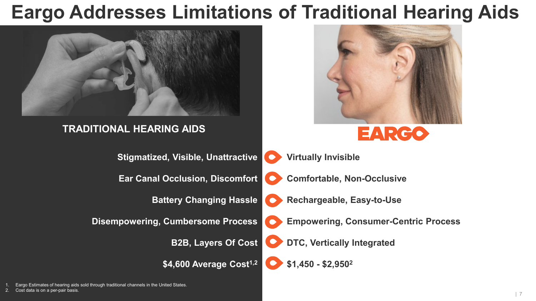### **Eargo Addresses Limitations of Traditional Hearing Aids**





\$4,600 Average Cost<sup>1,2</sup>

**DTC, Vertically Integrated**

**\$1,450 - \$2,9502**

1. Eargo Estimates of hearing aids sold through traditional channels in the United States.

2. Cost data is on a per-pair basis.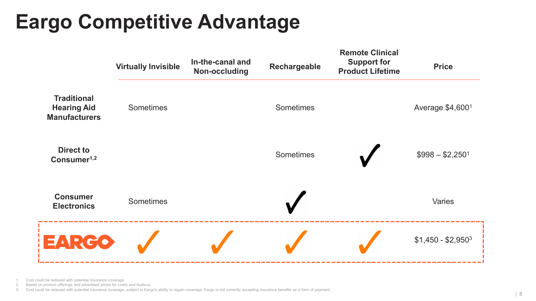# **Eargo Competitive Advantage**



Cost could be reduced with potential insurance coverage.

2. Based on product offerings and advertised prices for Lively and Audicus.

3. Cost could be reduced with potential insurance coverage, subject to Eargo's ability to regain coverage; Eargo is not currently accepting insurance benefits as a form of payment.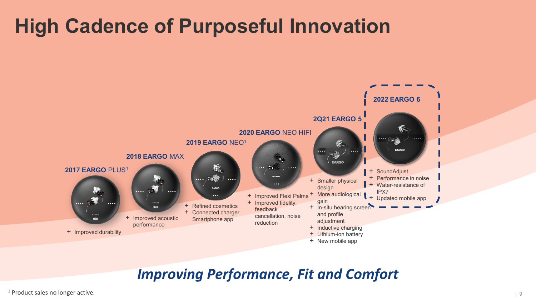### **High Cadence of Purposeful Innovation**



### *Improving Performance, Fit and Comfort*

<sup>1</sup> Product sales no longer active.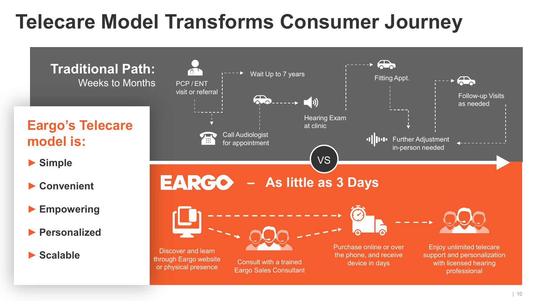### **Telecare Model Transforms Consumer Journey**

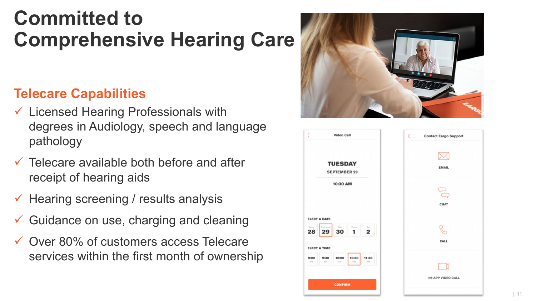### **Committed to Comprehensive Hearing Care**

### **Telecare Capabilities**

- $\checkmark$  Licensed Hearing Professionals with degrees in Audiology, speech and language pathology
- $\checkmark$  Telecare available both before and after receipt of hearing aids
- $\checkmark$  Hearing screening / results analysis
- Guidance on use, charging and cleaning
- **✓ Over 80% of customers access Telecare** services within the first month of ownership



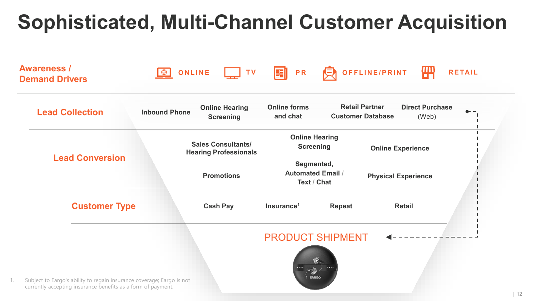# **Sophisticated, Multi-Channel Customer Acquisition**

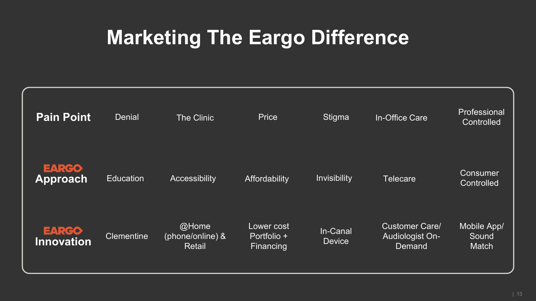## **Marketing The Eargo Difference**

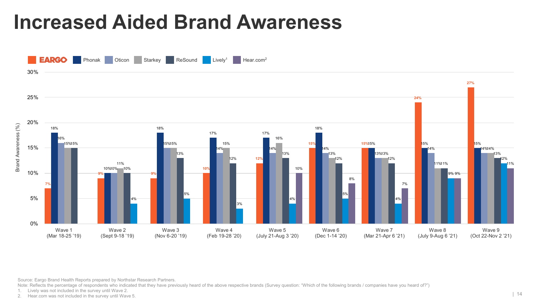### **Increased Aided Brand Awareness**



Source: Eargo Brand Health Reports prepared by Northstar Research Partners.

Note: Reflects the percentage of respondents who indicated that they have previously heard of the above respective brands (Survey question: "Which of the following brands / companies have you heard of?")

1. Lively was not included in the survey until Wave 2.<br>2. Hear.com was not included in the survey until Wave 5.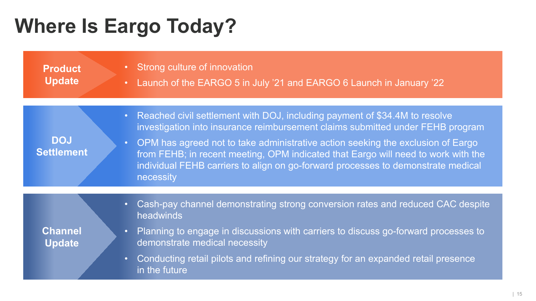# **Where Is Eargo Today?**

in the future

| <b>Product</b><br><b>Update</b> | • Strong culture of innovation<br>Launch of the EARGO 5 in July '21 and EARGO 6 Launch in January '22<br>$\bullet$                                                                                                                                                                                                                                                                                                                                                |
|---------------------------------|-------------------------------------------------------------------------------------------------------------------------------------------------------------------------------------------------------------------------------------------------------------------------------------------------------------------------------------------------------------------------------------------------------------------------------------------------------------------|
| <b>DOJ</b><br><b>Settlement</b> | Reached civil settlement with DOJ, including payment of \$34.4M to resolve<br>$\bullet$ .<br>investigation into insurance reimbursement claims submitted under FEHB program<br>OPM has agreed not to take administrative action seeking the exclusion of Eargo<br>$\bullet$<br>from FEHB; in recent meeting, OPM indicated that Eargo will need to work with the<br>individual FEHB carriers to align on go-forward processes to demonstrate medical<br>necessity |
| <b>Channel</b><br><b>Update</b> | Cash-pay channel demonstrating strong conversion rates and reduced CAC despite<br>$\bullet$ .<br>headwinds<br>Planning to engage in discussions with carriers to discuss go-forward processes to<br>$\bullet$<br>demonstrate medical necessity<br>Conducting retail pilots and refining our strategy for an expanded retail presence<br>$\bullet$                                                                                                                 |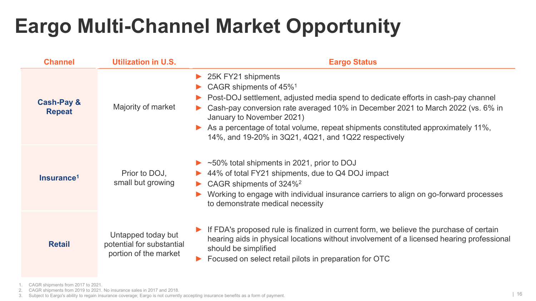## **Eargo Multi-Channel Market Opportunity**

| <b>Channel</b>                         | <b>Utilization in U.S.</b>                                               | <b>Eargo Status</b>                                                                                                                                                                                                                                                                                                                                                                                                        |
|----------------------------------------|--------------------------------------------------------------------------|----------------------------------------------------------------------------------------------------------------------------------------------------------------------------------------------------------------------------------------------------------------------------------------------------------------------------------------------------------------------------------------------------------------------------|
| <b>Cash-Pay &amp;</b><br><b>Repeat</b> | Majority of market                                                       | $\triangleright$ 25K FY21 shipments<br>CAGR shipments of 45% <sup>1</sup><br>Post-DOJ settlement, adjusted media spend to dedicate efforts in cash-pay channel<br>Cash-pay conversion rate averaged 10% in December 2021 to March 2022 (vs. 6% in<br>January to November 2021)<br>As a percentage of total volume, repeat shipments constituted approximately 11%,<br>14%, and 19-20% in 3Q21, 4Q21, and 1Q22 respectively |
| Insurance <sup>1</sup>                 | Prior to DOJ,<br>small but growing                                       | $\triangleright$ ~50% total shipments in 2021, prior to DOJ<br>44% of total FY21 shipments, due to Q4 DOJ impact<br>$\triangleright$ CAGR shipments of 324% <sup>2</sup><br>Working to engage with individual insurance carriers to align on go-forward processes<br>to demonstrate medical necessity                                                                                                                      |
| <b>Retail</b>                          | Untapped today but<br>potential for substantial<br>portion of the market | If FDA's proposed rule is finalized in current form, we believe the purchase of certain<br>hearing aids in physical locations without involvement of a licensed hearing professional<br>should be simplified<br>Focused on select retail pilots in preparation for OTC                                                                                                                                                     |

1. CAGR shipments from 2017 to 2021.

2. CAGR shipments from 2019 to 2021. No insurance sales in 2017 and 2018.

3. Subject to Eargo's ability to regain insurance coverage; Eargo is not currently accepting insurance benefits as a form of payment.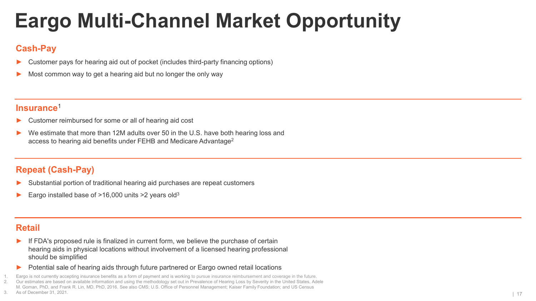# **Eargo Multi-Channel Market Opportunity**

#### **Cash-Pay**

- Customer pays for hearing aid out of pocket (includes third-party financing options)
- Most common way to get a hearing aid but no longer the only way

#### **Insurance**<sup>1</sup>

- Customer reimbursed for some or all of hearing aid cost
- We estimate that more than 12M adults over 50 in the U.S. have both hearing loss and access to hearing aid benefits under FEHB and Medicare Advantage2

#### **Repeat (Cash-Pay)**

- Substantial portion of traditional hearing aid purchases are repeat customers
- Eargo installed base of  $>16,000$  units  $>2$  years old<sup>3</sup>

#### **Retail**

- ► If FDA's proposed rule is finalized in current form, we believe the purchase of certain hearing aids in physical locations without involvement of a licensed hearing professional should be simplified
- ► Potential sale of hearing aids through future partnered or Eargo owned retail locations
- Eargo is not currently accepting insurance benefits as a form of payment and is working to pursue insurance reimbursement and coverage in the future.
- 2. Our estimates are based on available information and using the methodology set out in Prevalence of Hearing Loss by Severity in the United States, Adele M. Goman, PhD, and Frank R. Lin, MD, PhD, 2016. See also CMS; U.S. Office of Personnel Management; Kaiser Family Foundation; and US Census
- 3. As of December 31, 2021.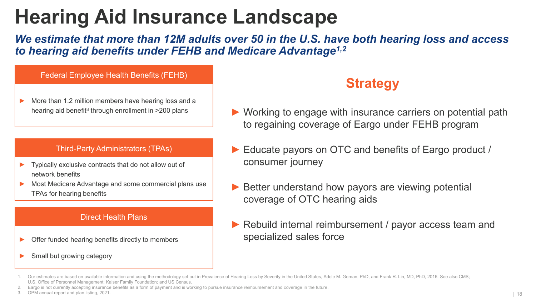### **Hearing Aid Insurance Landscape**

*We estimate that more than 12M adults over 50 in the U.S. have both hearing loss and access to hearing aid benefits under FEHB and Medicare Advantage1,2*

#### Federal Employee Health Benefits (FEHB)

More than 1.2 million members have hearing loss and a hearing aid benefit<sup>3</sup> through enrollment in >200 plans

#### Third-Party Administrators (TPAs)

- ► Typically exclusive contracts that do not allow out of network benefits
- Most Medicare Advantage and some commercial plans use TPAs for hearing benefits

#### Direct Health Plans

- Offer funded hearing benefits directly to members
- Small but growing category

### **Strategy**

- ► Working to engage with insurance carriers on potential path to regaining coverage of Eargo under FEHB program
- Educate payors on OTC and benefits of Eargo product / consumer journey
- Better understand how payors are viewing potential coverage of OTC hearing aids
- ► Rebuild internal reimbursement / payor access team and specialized sales force

3. OPM annual report and plan listing, 2021.

<sup>1.</sup> Our estimates are based on available information and using the methodology set out in Prevalence of Hearing Loss by Severity in the United States, Adele M. Goman, PhD, and Frank R. Lin, MD, PhD, 2016. See also CMS; U.S. Office of Personnel Management; Kaiser Family Foundation; and US Census.

<sup>2.</sup> Eargo is not currently accepting insurance benefits as a form of payment and is working to pursue insurance reimbursement and coverage in the future.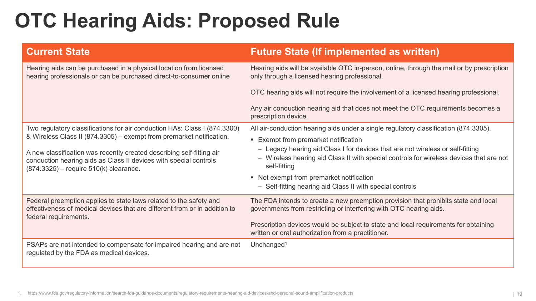### **OTC Hearing Aids: Proposed Rule**

| <b>Current State</b>                                                                                                                                                                   | <b>Future State (If implemented as written)</b>                                                                                                                                           |
|----------------------------------------------------------------------------------------------------------------------------------------------------------------------------------------|-------------------------------------------------------------------------------------------------------------------------------------------------------------------------------------------|
| Hearing aids can be purchased in a physical location from licensed<br>hearing professionals or can be purchased direct-to-consumer online                                              | Hearing aids will be available OTC in-person, online, through the mail or by prescription<br>only through a licensed hearing professional.                                                |
|                                                                                                                                                                                        | OTC hearing aids will not require the involvement of a licensed hearing professional.                                                                                                     |
|                                                                                                                                                                                        | Any air conduction hearing aid that does not meet the OTC requirements becomes a<br>prescription device.                                                                                  |
| Two regulatory classifications for air conduction HAs: Class I (874.3300)                                                                                                              | All air-conduction hearing aids under a single regulatory classification (874.3305).                                                                                                      |
| & Wireless Class II (874.3305) – exempt from premarket notification.                                                                                                                   | <b>Exempt from premarket notification</b>                                                                                                                                                 |
| A new classification was recently created describing self-fitting air<br>conduction hearing aids as Class II devices with special controls<br>$(874.3325)$ – require 510(k) clearance. | - Legacy hearing aid Class I for devices that are not wireless or self-fitting<br>- Wireless hearing aid Class II with special controls for wireless devices that are not<br>self-fitting |
|                                                                                                                                                                                        | • Not exempt from premarket notification                                                                                                                                                  |
|                                                                                                                                                                                        | - Self-fitting hearing aid Class II with special controls                                                                                                                                 |
| Federal preemption applies to state laws related to the safety and<br>effectiveness of medical devices that are different from or in addition to<br>federal requirements.              | The FDA intends to create a new preemption provision that prohibits state and local<br>governments from restricting or interfering with OTC hearing aids.                                 |
|                                                                                                                                                                                        | Prescription devices would be subject to state and local requirements for obtaining<br>written or oral authorization from a practitioner.                                                 |
| PSAPs are not intended to compensate for impaired hearing and are not<br>regulated by the FDA as medical devices.                                                                      | Unchanged <sup>1</sup>                                                                                                                                                                    |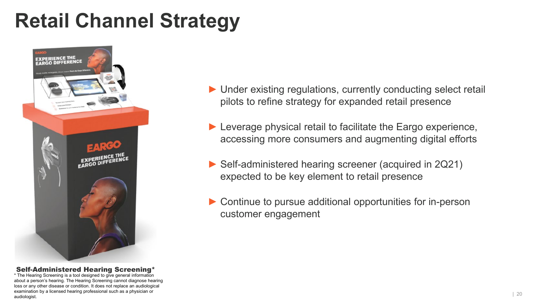### **Retail Channel Strategy**



#### Self-Administered Hearing Screening\*

\* The Hearing Screening is a tool designed to give general information about a person's hearing. The Hearing Screening cannot diagnose hearing loss or any other disease or condition. It does not replace an audiological examination by a licensed hearing professional such as a physician or audiologist.

- ▶ Under existing regulations, currently conducting select retail pilots to refine strategy for expanded retail presence
- ▶ Leverage physical retail to facilitate the Eargo experience, accessing more consumers and augmenting digital efforts
- ► Self-administered hearing screener (acquired in 2Q21) expected to be key element to retail presence
- ► Continue to pursue additional opportunities for in-person customer engagement